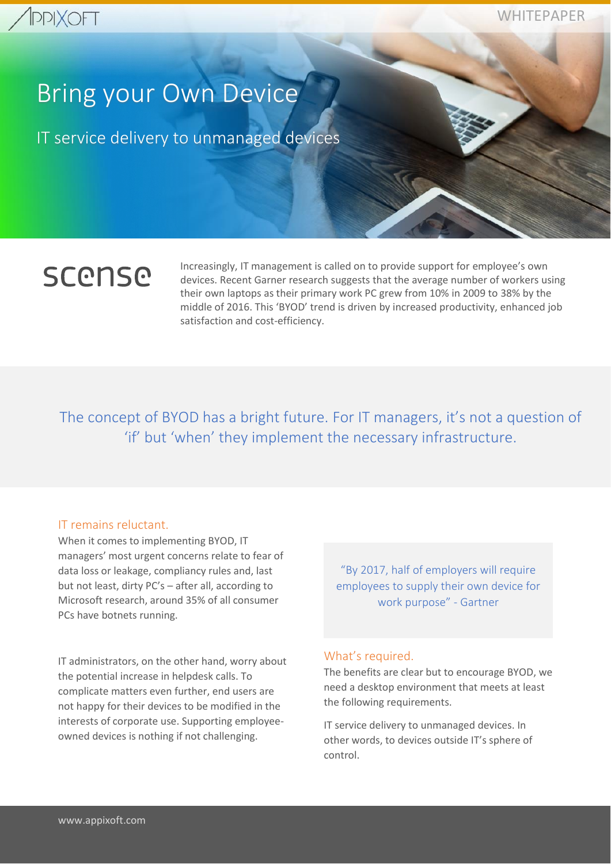

WHITEPAPER

# Bring your Own Device

IT service delivery to unmanaged devices

# **SCONSO**

Increasingly, IT management is called on to provide support for employee's own devices. Recent Garner research suggests that the average number of workers using their own laptops as their primary work PC grew from 10% in 2009 to 38% by the middle of 2016. This 'BYOD' trend is driven by increased productivity, enhanced job satisfaction and cost-efficiency.

The concept of BYOD has a bright future. For IT managers, it's not a question of 'if' but 'when' they implement the necessary infrastructure.

## IT remains reluctant.

When it comes to implementing BYOD, IT managers' most urgent concerns relate to fear of data loss or leakage, compliancy rules and, last but not least, dirty PC's – after all, according to Microsoft research, around 35% of all consumer PCs have botnets running.

IT administrators, on the other hand, worry about the potential increase in helpdesk calls. To complicate matters even further, end users are not happy for their devices to be modified in the interests of corporate use. Supporting employeeowned devices is nothing if not challenging.

"By 2017, half of employers will require employees to supply their own device for work purpose" - Gartner

## What's required.

The benefits are clear but to encourage BYOD, we need a desktop environment that meets at least the following requirements.

IT service delivery to unmanaged devices. In other words, to devices outside IT's sphere of control.